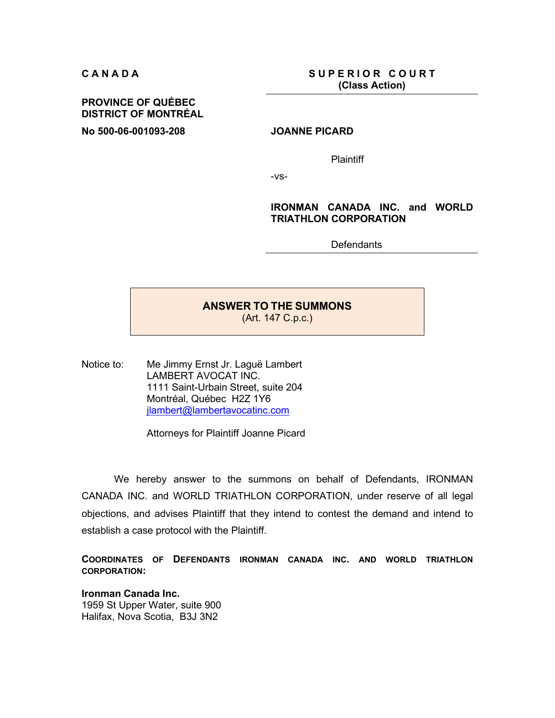**CANADA** SUPERIOR COURT **(Class Action)**

# **PROVINCE OF QUÉBEC DISTRICT OF MONTRÉAL**

**No 500-06-001093-208 JOANNE PICARD** 

**Plaintiff** 

-vs-

# **IRONMAN CANADA INC. and WORLD TRIATHLON CORPORATION**

**Defendants** 

# **ANSWER TO THE SUMMONS**

(Art. 147 C.p.c.)

Notice to: Me Jimmy Ernst Jr. Laguë Lambert LAMBERT AVOCAT INC. 1111 Saint-Urbain Street, suite 204 Montréal, Québec H2Z 1Y6 jlambert@lambertavocatinc.com

Attorneys for Plaintiff Joanne Picard

We hereby answer to the summons on behalf of Defendants, IRONMAN CANADA INC. and WORLD TRIATHLON CORPORATION, under reserve of all legal objections, and advises Plaintiff that they intend to contest the demand and intend to establish a case protocol with the Plaintiff.

**COORDINATES OF DEFENDANTS IRONMAN CANADA INC. AND WORLD TRIATHLON CORPORATION:** 

**Ironman Canada Inc.**  1959 St Upper Water, suite 900 Halifax, Nova Scotia, B3J 3N2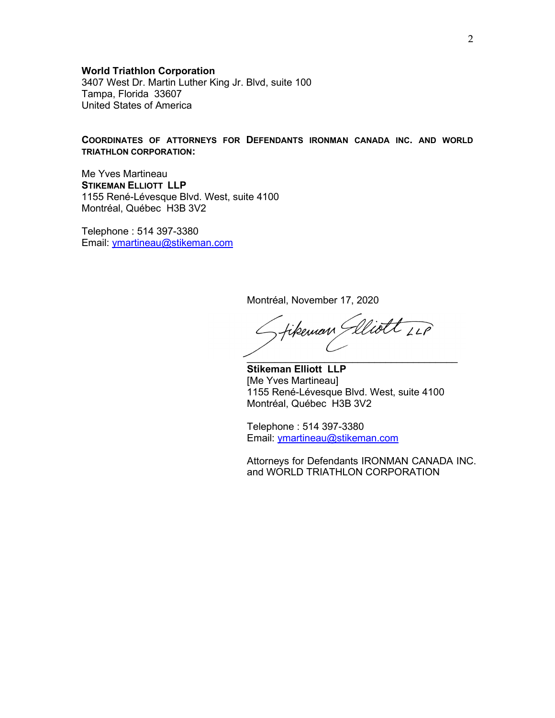### **World Triathlon Corporation**

3407 West Dr. Martin Luther King Jr. Blvd, suite 100 Tampa, Florida 33607 United States of America

### **COORDINATES OF ATTORNEYS FOR DEFENDANTS IRONMAN CANADA INC. AND WORLD TRIATHLON CORPORATION:**

Me Yves Martineau **STIKEMAN ELLIOTT LLP**  1155 René-Lévesque Blvd. West, suite 4100 Montréal, Québec H3B 3V2

Telephone : 514 397-3380 Email: ymartineau@stikeman.com

Montréal, November 17, 2020

fikeman Glliott LLP  $\mathcal{L}=\mathcal{L}^{\text{max}}$  , we have the set of the set of the set of the set of the set of the set of the set of the set of the set of the set of the set of the set of the set of the set of the set of the set of the set of the

**Stikeman Elliott LLP**  [Me Yves Martineau] 1155 René-Lévesque Blvd. West, suite 4100 Montréal, Québec H3B 3V2

Telephone : 514 397-3380 Email: ymartineau@stikeman.com

Attorneys for Defendants IRONMAN CANADA INC. and WORLD TRIATHLON CORPORATION